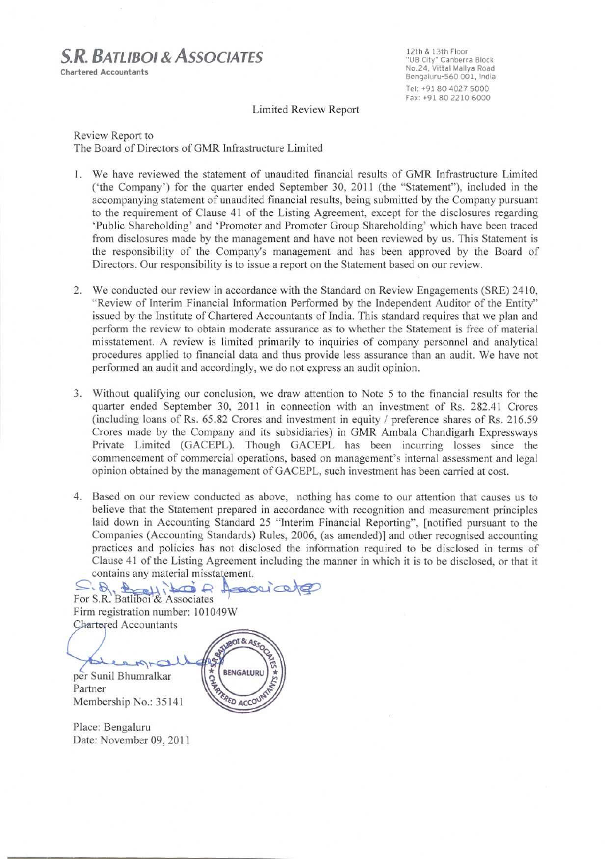# **S.R. BATLIBOL& ASSOCIATES**

**Chartered Accountants** 

12th & 13th Floor "UB City" Canberra Block<br>No.24, Vittal Mallya Road Bengaluru-560 001, India Tel: +91 80 4027 5000 Fax: +91 80 2210 6000

Limited Review Report

Review Report to The Board of Directors of GMR Infrastructure Limited

- 1. We have reviewed the statement of unaudited financial results of GMR Infrastructure Limited ('the Company') for the quarter ended September 30, 2011 (the "Statement"), included in the accompanying statement of unaudited financial results, being submitted by the Company pursuant to the requirement of Clause 41 of the Listing Agreement, except for the disclosures regarding 'Public Shareholding' and 'Promoter and Promoter Group Shareholding' which have been traced from disclosures made by the management and have not been reviewed by us. This Statement is the responsibility of the Company's management and has been approved by the Board of Directors. Our responsibility is to issue a report on the Statement based on our review.
- 2. We conducted our review in accordance with the Standard on Review Engagements (SRE) 2410, "Review of Interim Financial Information Performed by the Independent Auditor of the Entity" issued by the Institute of Chartered Accountants of India. This standard requires that we plan and perform the review to obtain moderate assurance as to whether the Statement is free of material misstatement. A review is limited primarily to inquiries of company personnel and analytical procedures applied to financial data and thus provide less assurance than an audit. We have not performed an audit and accordingly, we do not express an audit opinion.
- 3. Without qualifying our conclusion, we draw attention to Note 5 to the financial results for the quarter ended September 30, 2011 in connection with an investment of Rs. 282.41 Crores (including loans of Rs. 65.82 Crores and investment in equity / preference shares of Rs. 216.59 Crores made by the Company and its subsidiaries) in GMR Ambala Chandigarh Expressways Private Limited (GACEPL). Though GACEPL has been incurring losses since the commencement of commercial operations, based on management's internal assessment and legal opinion obtained by the management of GACEPL, such investment has been carried at cost.
- 4. Based on our review conducted as above, nothing has come to our attention that causes us to believe that the Statement prepared in accordance with recognition and measurement principles laid down in Accounting Standard 25 "Interim Financial Reporting", [notified pursuant to the Companies (Accounting Standards) Rules, 2006, (as amended)] and other recognised accounting practices and policies has not disclosed the information required to be disclosed in terms of Clause 41 of the Listing Agreement including the manner in which it is to be disclosed, or that it contains any material misstatement.

For S.R. Batliboi & Associates  $1000$ Firm registration number: 101049W **Chartered Accountants ANUBOL & ASSOC** 47 \* SHP BENGALURU per Sunil Bhumralkar Partner **RED ACCOU** Membership No.: 35141

Place: Bengaluru Date: November 09, 2011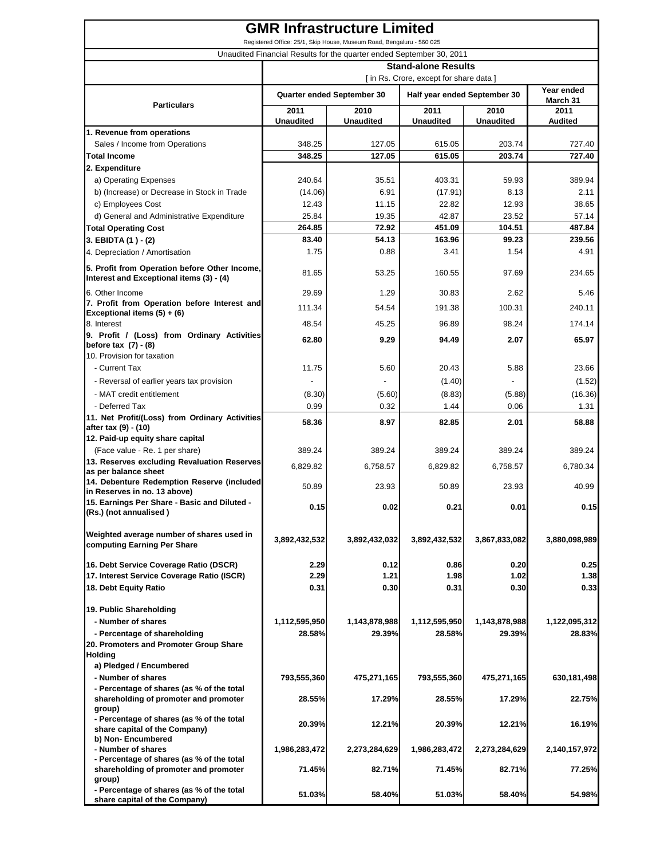| <b>GMR Infrastructure Limited</b><br>Registered Office: 25/1, Skip House, Museum Road, Bengaluru - 560 025        |                                                                                                                               |                          |                          |                          |                        |  |  |
|-------------------------------------------------------------------------------------------------------------------|-------------------------------------------------------------------------------------------------------------------------------|--------------------------|--------------------------|--------------------------|------------------------|--|--|
| Unaudited Financial Results for the quarter ended September 30, 2011                                              |                                                                                                                               |                          |                          |                          |                        |  |  |
|                                                                                                                   | <b>Stand-alone Results</b>                                                                                                    |                          |                          |                          |                        |  |  |
|                                                                                                                   | [in Rs. Crore, except for share data]<br>Year ended<br>Quarter ended September 30<br>Half year ended September 30<br>March 31 |                          |                          |                          |                        |  |  |
| <b>Particulars</b>                                                                                                | 2011<br><b>Unaudited</b>                                                                                                      | 2010<br><b>Unaudited</b> | 2011<br><b>Unaudited</b> | 2010<br><b>Unaudited</b> | 2011<br><b>Audited</b> |  |  |
| 1. Revenue from operations                                                                                        |                                                                                                                               |                          |                          |                          |                        |  |  |
| Sales / Income from Operations                                                                                    | 348.25                                                                                                                        | 127.05                   | 615.05                   | 203.74                   | 727.40                 |  |  |
| Total Income                                                                                                      | 348.25                                                                                                                        | 127.05                   | 615.05                   | 203.74                   | 727.40                 |  |  |
| 2. Expenditure                                                                                                    |                                                                                                                               |                          |                          |                          |                        |  |  |
| a) Operating Expenses                                                                                             | 240.64                                                                                                                        | 35.51<br>6.91            | 403.31                   | 59.93                    | 389.94                 |  |  |
| b) (Increase) or Decrease in Stock in Trade<br>c) Employees Cost                                                  | (14.06)<br>12.43                                                                                                              | 11.15                    | (17.91)<br>22.82         | 8.13<br>12.93            | 2.11<br>38.65          |  |  |
| d) General and Administrative Expenditure                                                                         | 25.84                                                                                                                         | 19.35                    | 42.87                    | 23.52                    | 57.14                  |  |  |
| Total Operating Cost                                                                                              | 264.85                                                                                                                        | 72.92                    | 451.09                   | 104.51                   | 487.84                 |  |  |
| 3. EBIDTA (1) - (2)                                                                                               | 83.40                                                                                                                         | 54.13                    | 163.96                   | 99.23                    | 239.56                 |  |  |
| 4. Depreciation / Amortisation                                                                                    | 1.75                                                                                                                          | 0.88                     | 3.41                     | 1.54                     | 4.91                   |  |  |
| 5. Profit from Operation before Other Income,<br>Interest and Exceptional items (3) - (4)                         | 81.65                                                                                                                         | 53.25                    | 160.55                   | 97.69                    | 234.65                 |  |  |
|                                                                                                                   | 29.69                                                                                                                         | 1.29                     | 30.83                    | 2.62                     |                        |  |  |
| 6. Other Income<br>7. Profit from Operation before Interest and                                                   |                                                                                                                               |                          |                          |                          | 5.46                   |  |  |
| Exceptional items (5) + (6)                                                                                       | 111.34                                                                                                                        | 54.54                    | 191.38                   | 100.31                   | 240.11                 |  |  |
| 8. Interest                                                                                                       | 48.54                                                                                                                         | 45.25                    | 96.89                    | 98.24                    | 174.14                 |  |  |
| 9. Profit / (Loss) from Ordinary Activities<br>before tax $(7) - (8)$<br>10. Provision for taxation               | 62.80                                                                                                                         | 9.29                     | 94.49                    | 2.07                     | 65.97                  |  |  |
| - Current Tax                                                                                                     | 11.75                                                                                                                         | 5.60                     | 20.43                    | 5.88                     | 23.66                  |  |  |
| - Reversal of earlier years tax provision                                                                         |                                                                                                                               |                          | (1.40)                   |                          | (1.52)                 |  |  |
| - MAT credit entitlement                                                                                          | (8.30)                                                                                                                        | (5.60)                   | (8.83)                   | (5.88)                   | (16.36)                |  |  |
| - Deferred Tax                                                                                                    | 0.99                                                                                                                          | 0.32                     | 1.44                     | 0.06                     | 1.31                   |  |  |
| 11. Net Profit/(Loss) from Ordinary Activities<br>after tax (9) - (10)                                            | 58.36                                                                                                                         | 8.97                     | 82.85                    | 2.01                     | 58.88                  |  |  |
| 12. Paid-up equity share capital                                                                                  |                                                                                                                               |                          |                          |                          |                        |  |  |
| (Face value - Re. 1 per share)                                                                                    | 389.24                                                                                                                        | 389.24                   | 389.24                   | 389.24                   | 389.24                 |  |  |
| 13. Reserves excluding Revaluation Reserves<br>as per balance sheet<br>14. Debenture Redemption Reserve (included | 6,829.82                                                                                                                      | 6,758.57                 | 6,829.82                 | 6,758.57                 | 6,780.34               |  |  |
| in Reserves in no. 13 above)                                                                                      | 50.89                                                                                                                         | 23.93                    | 50.89                    | 23.93                    | 40.99                  |  |  |
| 15. Earnings Per Share - Basic and Diluted -<br>(Rs.) (not annualised)                                            | 0.15                                                                                                                          | 0.02                     | 0.21                     | 0.01                     | 0.15                   |  |  |
| Weighted average number of shares used in<br>computing Earning Per Share                                          | 3,892,432,532                                                                                                                 | 3,892,432,032            | 3,892,432,532            | 3,867,833,082            | 3,880,098,989          |  |  |
| 16. Debt Service Coverage Ratio (DSCR)                                                                            | 2.29                                                                                                                          | 0.12                     | 0.86                     | 0.20                     | 0.25                   |  |  |
| 17. Interest Service Coverage Ratio (ISCR)                                                                        | 2.29                                                                                                                          | 1.21                     | 1.98                     | 1.02                     | 1.38                   |  |  |
| 18. Debt Equity Ratio                                                                                             | 0.31                                                                                                                          | 0.30                     | 0.31                     | 0.30                     | 0.33                   |  |  |
| 19. Public Shareholding                                                                                           |                                                                                                                               |                          |                          |                          |                        |  |  |
| - Number of shares                                                                                                | 1,112,595,950                                                                                                                 | 1,143,878,988            | 1,112,595,950            | 1,143,878,988            | 1,122,095,312          |  |  |
| - Percentage of shareholding                                                                                      | 28.58%                                                                                                                        | 29.39%                   | 28.58%                   | 29.39%                   | 28.83%                 |  |  |
| 20. Promoters and Promoter Group Share                                                                            |                                                                                                                               |                          |                          |                          |                        |  |  |
| Holding<br>a) Pledged / Encumbered                                                                                |                                                                                                                               |                          |                          |                          |                        |  |  |
| - Number of shares                                                                                                | 793,555,360                                                                                                                   | 475,271,165              | 793,555,360              | 475,271,165              | 630,181,498            |  |  |
| - Percentage of shares (as % of the total                                                                         |                                                                                                                               |                          |                          |                          |                        |  |  |
| shareholding of promoter and promoter<br>group)                                                                   | 28.55%                                                                                                                        | 17.29%                   | 28.55%                   | 17.29%                   | 22.75%                 |  |  |
| - Percentage of shares (as % of the total<br>share capital of the Company)<br>b) Non-Encumbered                   | 20.39%                                                                                                                        | 12.21%                   | 20.39%                   | 12.21%                   | 16.19%                 |  |  |
| - Number of shares                                                                                                | 1,986,283,472                                                                                                                 | 2,273,284,629            | 1,986,283,472            | 2,273,284,629            | 2,140,157,972          |  |  |
| - Percentage of shares (as % of the total<br>shareholding of promoter and promoter<br>group)                      | 71.45%                                                                                                                        | 82.71%                   | 71.45%                   | 82.71%                   | 77.25%                 |  |  |
| - Percentage of shares (as % of the total<br>share capital of the Company)                                        | 51.03%                                                                                                                        | 58.40%                   | 51.03%                   | 58.40%                   | 54.98%                 |  |  |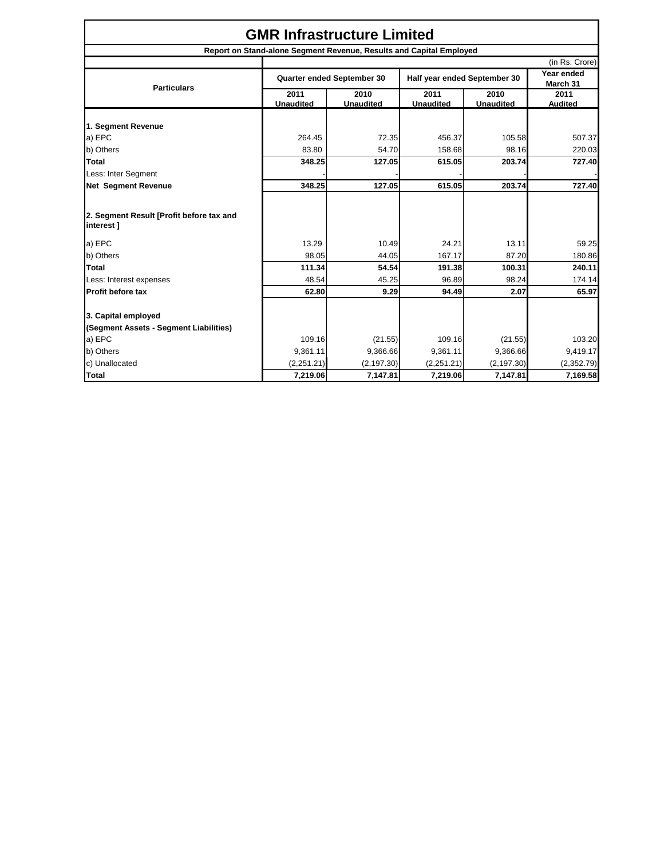| <b>GMR Infrastructure Limited</b>                     |                                                                     |                          |                              |                          |                        |  |
|-------------------------------------------------------|---------------------------------------------------------------------|--------------------------|------------------------------|--------------------------|------------------------|--|
|                                                       | Report on Stand-alone Segment Revenue, Results and Capital Employed |                          |                              |                          |                        |  |
|                                                       |                                                                     |                          |                              |                          | (in Rs. Crore)         |  |
| <b>Particulars</b>                                    | Quarter ended September 30                                          |                          | Half year ended September 30 |                          | Year ended<br>March 31 |  |
|                                                       | 2011<br><b>Unaudited</b>                                            | 2010<br><b>Unaudited</b> | 2011<br><b>Unaudited</b>     | 2010<br><b>Unaudited</b> | 2011<br><b>Audited</b> |  |
| 1. Segment Revenue                                    |                                                                     |                          |                              |                          |                        |  |
| a) EPC                                                | 264.45                                                              | 72.35                    | 456.37                       | 105.58                   | 507.37                 |  |
| b) Others                                             | 83.80                                                               | 54.70                    | 158.68                       | 98.16                    | 220.03                 |  |
| Total                                                 | 348.25                                                              | 127.05                   | 615.05                       | 203.74                   | 727.40                 |  |
| Less: Inter Segment                                   |                                                                     |                          |                              |                          |                        |  |
| <b>Net Segment Revenue</b>                            | 348.25                                                              | 127.05                   | 615.05                       | 203.74                   | 727.40                 |  |
| 2. Segment Result [Profit before tax and<br>interest] |                                                                     |                          |                              |                          |                        |  |
| a) EPC                                                | 13.29                                                               | 10.49                    | 24.21                        | 13.11                    | 59.25                  |  |
| b) Others                                             | 98.05                                                               | 44.05                    | 167.17                       | 87.20                    | 180.86                 |  |
| <b>Total</b>                                          | 111.34                                                              | 54.54                    | 191.38                       | 100.31                   | 240.11                 |  |
| Less: Interest expenses                               | 48.54                                                               | 45.25                    | 96.89                        | 98.24                    | 174.14                 |  |
| Profit before tax                                     | 62.80                                                               | 9.29                     | 94.49                        | 2.07                     | 65.97                  |  |
| 3. Capital employed                                   |                                                                     |                          |                              |                          |                        |  |
| (Segment Assets - Segment Liabilities)                |                                                                     |                          |                              |                          |                        |  |
| a) EPC                                                | 109.16                                                              | (21.55)                  | 109.16                       | (21.55)                  | 103.20                 |  |
| b) Others                                             | 9,361.11                                                            | 9,366.66                 | 9,361.11                     | 9,366.66                 | 9,419.17               |  |
| c) Unallocated                                        | (2,251.21)                                                          | (2, 197.30)              | (2,251.21)                   | (2, 197.30)              | (2,352.79)             |  |
| <b>Total</b>                                          | 7,219.06                                                            | 7,147.81                 | 7,219.06                     | 7,147.81                 | 7,169.58               |  |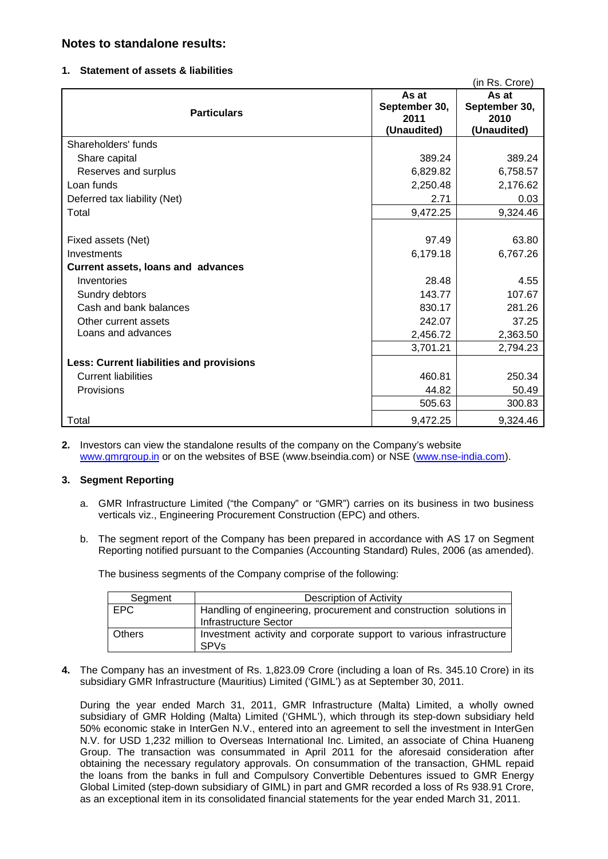## **Notes to standalone results:**

#### **1. Statement of assets & liabilities**

|                                                 |               | (in Rs. Crore) |  |
|-------------------------------------------------|---------------|----------------|--|
|                                                 | As at         | As at          |  |
| <b>Particulars</b>                              | September 30, | September 30,  |  |
|                                                 | 2011          | 2010           |  |
|                                                 | (Unaudited)   | (Unaudited)    |  |
| Shareholders' funds                             |               |                |  |
| Share capital                                   | 389.24        | 389.24         |  |
| Reserves and surplus                            | 6,829.82      | 6,758.57       |  |
| Loan funds                                      | 2,250.48      | 2,176.62       |  |
| Deferred tax liability (Net)                    | 2.71          | 0.03           |  |
| Total                                           | 9,472.25      | 9,324.46       |  |
|                                                 |               |                |  |
| Fixed assets (Net)                              | 97.49         | 63.80          |  |
| Investments                                     | 6,179.18      | 6,767.26       |  |
| <b>Current assets, loans and advances</b>       |               |                |  |
| Inventories                                     | 28.48         | 4.55           |  |
| Sundry debtors                                  | 143.77        | 107.67         |  |
| Cash and bank balances                          | 830.17        | 281.26         |  |
| Other current assets                            | 242.07        | 37.25          |  |
| Loans and advances                              | 2,456.72      | 2,363.50       |  |
|                                                 | 3,701.21      | 2,794.23       |  |
| <b>Less: Current liabilities and provisions</b> |               |                |  |
| <b>Current liabilities</b>                      | 460.81        | 250.34         |  |
| Provisions                                      | 44.82         | 50.49          |  |
|                                                 | 505.63        | 300.83         |  |
| Total                                           | 9,472.25      | 9,324.46       |  |

**2.** Investors can view the standalone results of the company on the Company's website [www.gmrgroup.in](http://www.gmrgroup.in/) or on the websites of BSE (www.bseindia.com) or NSE [\(www.nse-india.com\)](http://www.nse-india.com/).

### **3. Segment Reporting**

- a. GMR Infrastructure Limited ("the Company" or "GMR") carries on its business in two business verticals viz., Engineering Procurement Construction (EPC) and others.
- b. The segment report of the Company has been prepared in accordance with AS 17 on Segment Reporting notified pursuant to the Companies (Accounting Standard) Rules, 2006 (as amended).

The business segments of the Company comprise of the following:

| Segment       | <b>Description of Activity</b>                                                              |
|---------------|---------------------------------------------------------------------------------------------|
| <b>EPC</b>    | Handling of engineering, procurement and construction solutions in<br>Infrastructure Sector |
| <b>Others</b> | Investment activity and corporate support to various infrastructure<br><b>SPVs</b>          |

**4.** The Company has an investment of Rs. 1,823.09 Crore (including a loan of Rs. 345.10 Crore) in its subsidiary GMR Infrastructure (Mauritius) Limited ('GIML') as at September 30, 2011.

During the year ended March 31, 2011, GMR Infrastructure (Malta) Limited, a wholly owned subsidiary of GMR Holding (Malta) Limited ('GHML'), which through its step-down subsidiary held 50% economic stake in InterGen N.V., entered into an agreement to sell the investment in InterGen N.V. for USD 1,232 million to Overseas International Inc. Limited, an associate of China Huaneng Group. The transaction was consummated in April 2011 for the aforesaid consideration after obtaining the necessary regulatory approvals. On consummation of the transaction, GHML repaid the loans from the banks in full and Compulsory Convertible Debentures issued to GMR Energy Global Limited (step-down subsidiary of GIML) in part and GMR recorded a loss of Rs 938.91 Crore, as an exceptional item in its consolidated financial statements for the year ended March 31, 2011.